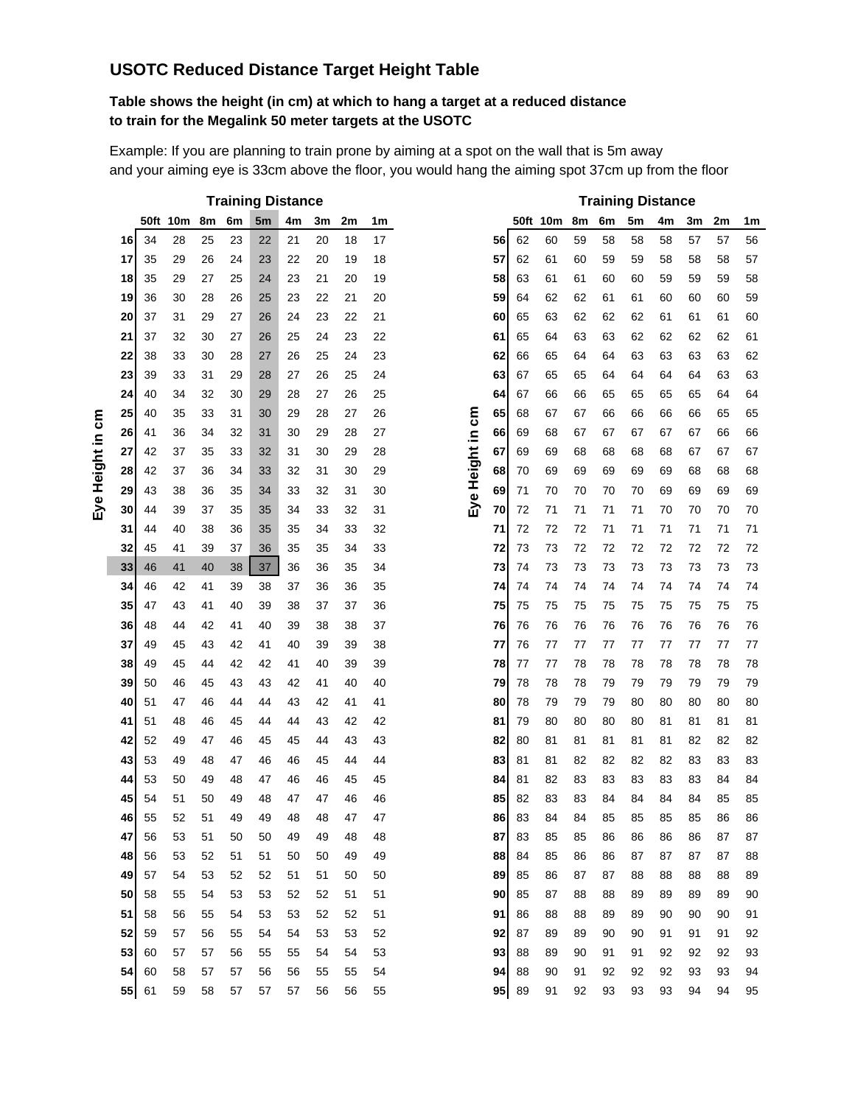## **USOTC Reduced Distance Target Height Table**

#### **Table shows the height (in cm) at which to hang a target at a reduced distance to train for the Megalink 50 meter targets at the USOTC**

Example: If you are planning to train prone by aiming at a spot on the wall that is 5m away and your aiming eye is 33cm above the floor, you would hang the aiming spot 37cm up from the floor

|    |       |          |    |    | <b>Training Distance</b> |    |    |    |    |                  |    |    |          |    |    |    | <b>Training Distance</b> |    |    |    |
|----|-------|----------|----|----|--------------------------|----|----|----|----|------------------|----|----|----------|----|----|----|--------------------------|----|----|----|
|    |       | 50ft 10m | 8m | 6m | 5m                       | 4m | 3m | 2m | 1m |                  |    |    | 50ft 10m | 8m | 6m | 5m | 4m                       | 3m | 2m | 1m |
| 16 | 34    | 28       | 25 | 23 | 22                       | 21 | 20 | 18 | 17 |                  | 56 | 62 | 60       | 59 | 58 | 58 | 58                       | 57 | 57 | 56 |
| 17 | 35    | 29       | 26 | 24 | 23                       | 22 | 20 | 19 | 18 |                  | 57 | 62 | 61       | 60 | 59 | 59 | 58                       | 58 | 58 | 57 |
| 18 | 35    | 29       | 27 | 25 | 24                       | 23 | 21 | 20 | 19 |                  | 58 | 63 | 61       | 61 | 60 | 60 | 59                       | 59 | 59 | 58 |
| 19 | 36    | 30       | 28 | 26 | 25                       | 23 | 22 | 21 | 20 |                  | 59 | 64 | 62       | 62 | 61 | 61 | 60                       | 60 | 60 | 59 |
| 20 | 37    | 31       | 29 | 27 | 26                       | 24 | 23 | 22 | 21 |                  | 60 | 65 | 63       | 62 | 62 | 62 | 61                       | 61 | 61 | 60 |
| 21 | 37    | 32       | 30 | 27 | 26                       | 25 | 24 | 23 | 22 |                  | 61 | 65 | 64       | 63 | 63 | 62 | 62                       | 62 | 62 | 61 |
| 22 | 38    | 33       | 30 | 28 | 27                       | 26 | 25 | 24 | 23 |                  | 62 | 66 | 65       | 64 | 64 | 63 | 63                       | 63 | 63 | 62 |
| 23 | 39    | 33       | 31 | 29 | 28                       | 27 | 26 | 25 | 24 |                  | 63 | 67 | 65       | 65 | 64 | 64 | 64                       | 64 | 63 | 63 |
| 24 | 40    | 34       | 32 | 30 | 29                       | 28 | 27 | 26 | 25 |                  | 64 | 67 | 66       | 66 | 65 | 65 | 65                       | 65 | 64 | 64 |
| 25 | 40    | 35       | 33 | 31 | 30                       | 29 | 28 | 27 | 26 |                  | 65 | 68 | 67       | 67 | 66 | 66 | 66                       | 66 | 65 | 65 |
| 26 | 41    | 36       | 34 | 32 | 31                       | 30 | 29 | 28 | 27 |                  | 66 | 69 | 68       | 67 | 67 | 67 | 67                       | 67 | 66 | 66 |
| 27 | 42    | 37       | 35 | 33 | 32                       | 31 | 30 | 29 | 28 | Eye Height in cm | 67 | 69 | 69       | 68 | 68 | 68 | 68                       | 67 | 67 | 67 |
| 28 | 42    | 37       | 36 | 34 | 33                       | 32 | 31 | 30 | 29 |                  | 68 | 70 | 69       | 69 | 69 | 69 | 69                       | 68 | 68 | 68 |
| 29 | 43    | 38       | 36 | 35 | 34                       | 33 | 32 | 31 | 30 |                  | 69 | 71 | 70       | 70 | 70 | 70 | 69                       | 69 | 69 | 69 |
| 30 | 44    | 39       | 37 | 35 | 35                       | 34 | 33 | 32 | 31 |                  | 70 | 72 | 71       | 71 | 71 | 71 | 70                       | 70 | 70 | 70 |
| 31 | 44    | 40       | 38 | 36 | 35                       | 35 | 34 | 33 | 32 |                  | 71 | 72 | 72       | 72 | 71 | 71 | 71                       | 71 | 71 | 71 |
| 32 | 45    | 41       | 39 | 37 | 36                       | 35 | 35 | 34 | 33 |                  | 72 | 73 | 73       | 72 | 72 | 72 | 72                       | 72 | 72 | 72 |
| 33 | 46    | 41       | 40 | 38 | $37\,$                   | 36 | 36 | 35 | 34 |                  | 73 | 74 | 73       | 73 | 73 | 73 | 73                       | 73 | 73 | 73 |
| 34 | 46    | 42       | 41 | 39 | 38                       | 37 | 36 | 36 | 35 |                  | 74 | 74 | 74       | 74 | 74 | 74 | 74                       | 74 | 74 | 74 |
| 35 | 47    | 43       | 41 | 40 | 39                       | 38 | 37 | 37 | 36 |                  | 75 | 75 | 75       | 75 | 75 | 75 | 75                       | 75 | 75 | 75 |
| 36 | 48    | 44       | 42 | 41 | 40                       | 39 | 38 | 38 | 37 |                  | 76 | 76 | 76       | 76 | 76 | 76 | 76                       | 76 | 76 | 76 |
| 37 | 49    | 45       | 43 | 42 | 41                       | 40 | 39 | 39 | 38 |                  | 77 | 76 | 77       | 77 | 77 | 77 | 77                       | 77 | 77 | 77 |
| 38 | 49    | 45       | 44 | 42 | 42                       | 41 | 40 | 39 | 39 |                  | 78 | 77 | 77       | 78 | 78 | 78 | 78                       | 78 | 78 | 78 |
| 39 | 50    | 46       | 45 | 43 | 43                       | 42 | 41 | 40 | 40 |                  | 79 | 78 | 78       | 78 | 79 | 79 | 79                       | 79 | 79 | 79 |
| 40 | 51    | 47       | 46 | 44 | 44                       | 43 | 42 | 41 | 41 |                  | 80 | 78 | 79       | 79 | 79 | 80 | 80                       | 80 | 80 | 80 |
| 41 | 51    | 48       | 46 | 45 | 44                       | 44 | 43 | 42 | 42 |                  | 81 | 79 | 80       | 80 | 80 | 80 | 81                       | 81 | 81 | 81 |
| 42 | 52    | 49       | 47 | 46 | 45                       | 45 | 44 | 43 | 43 |                  | 82 | 80 | 81       | 81 | 81 | 81 | 81                       | 82 | 82 | 82 |
| 43 | 53    | 49       | 48 | 47 | 46                       | 46 | 45 | 44 | 44 |                  | 83 | 81 | 81       | 82 | 82 | 82 | 82                       | 83 | 83 | 83 |
| 44 | 53    | 50       | 49 | 48 | 47                       | 46 | 46 | 45 | 45 |                  | 84 | 81 | 82       | 83 | 83 | 83 | 83                       | 83 | 84 | 84 |
| 45 | 54    | 51       | 50 | 49 | 48                       | 47 | 47 | 46 | 46 |                  | 85 | 82 | 83       | 83 | 84 | 84 | 84                       | 84 | 85 | 85 |
| 46 | 55    | 52       | 51 | 49 | 49                       | 48 | 48 | 47 | 47 |                  | 86 | 83 | 84       | 84 | 85 | 85 | 85                       | 85 | 86 | 86 |
| 47 | 56    | 53       | 51 | 50 | 50                       | 49 | 49 | 48 | 48 |                  | 87 | 83 | 85       | 85 | 86 | 86 | 86                       | 86 | 87 | 87 |
| 48 | 56    | 53       | 52 | 51 | 51                       | 50 | 50 | 49 | 49 |                  | 88 | 84 | 85       | 86 | 86 | 87 | 87                       | 87 | 87 | 88 |
| 49 | 57    | 54       | 53 | 52 | 52                       | 51 | 51 | 50 | 50 |                  | 89 | 85 | 86       | 87 | 87 | 88 | 88                       | 88 | 88 | 89 |
| 50 | 58    | 55       | 54 | 53 | 53                       | 52 | 52 | 51 | 51 |                  | 90 | 85 | 87       | 88 | 88 | 89 | 89                       | 89 | 89 | 90 |
| 51 | 58    | 56       | 55 | 54 | 53                       | 53 | 52 | 52 | 51 |                  | 91 | 86 | 88       | 88 | 89 | 89 | 90                       | 90 | 90 | 91 |
| 52 | 59    | 57       | 56 | 55 | 54                       | 54 | 53 | 53 | 52 |                  | 92 | 87 | 89       | 89 | 90 | 90 | 91                       | 91 | 91 | 92 |
| 53 | 60    | 57       | 57 | 56 | 55                       | 55 | 54 | 54 | 53 |                  | 93 | 88 | 89       | 90 | 91 | 91 | 92                       | 92 | 92 | 93 |
| 54 | 60    | 58       | 57 | 57 | 56                       | 56 | 55 | 55 | 54 |                  | 94 | 88 | 90       | 91 | 92 | 92 | 92                       | 93 | 93 | 94 |
|    | 55 61 | 59       | 58 | 57 | 57                       | 57 | 56 | 56 | 55 |                  | 95 | 89 | 91       | 92 | 93 | 93 | 93                       | 94 | 94 | 95 |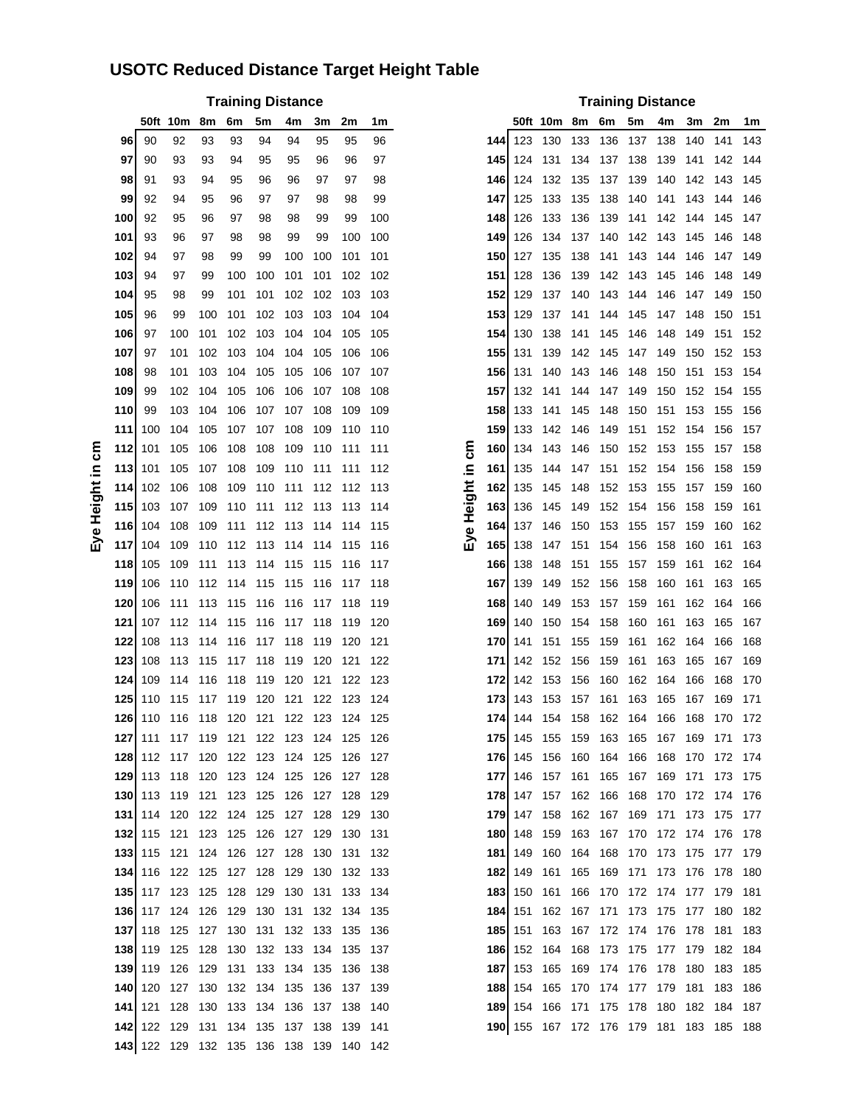# **USOTC Reduced Distance Target Height Table**

|      | <b>Training Distance</b> |                                         |         |     |                     |             |     |                                 |       |          |       |     |                                                 |       |     |                          |     |     |                                 |     |
|------|--------------------------|-----------------------------------------|---------|-----|---------------------|-------------|-----|---------------------------------|-------|----------|-------|-----|-------------------------------------------------|-------|-----|--------------------------|-----|-----|---------------------------------|-----|
|      |                          |                                         |         |     |                     |             |     |                                 |       |          |       |     |                                                 |       |     | <b>Training Distance</b> |     |     |                                 |     |
|      |                          | 50ft 10m                                | 8m      | 6m  | 5m                  | 4m          | 3m  | 2m                              | 1m    |          |       |     | 50ft 10m                                        | 8m 6m |     | 5m                       | 4m  | 3m  | 2m                              | 1m  |
| 96   | 90                       | 92                                      | 93      | 93  | 94                  | 94          | 95  | 95                              | 96    |          | 144 I | 123 | 130                                             | 133   | 136 | 137                      | 138 | 140 | 141                             | 143 |
| 97   | 90                       | 93                                      | 93      | 94  | 95                  | 95          | 96  | 96                              | 97    |          | 1451  | 124 | 131                                             | 134   | 137 | - 138                    | 139 | 141 | 142                             | 144 |
| 98   | 91                       | 93                                      | 94      | 95  | 96                  | 96          | 97  | 97                              | 98    |          | 1461  | 124 | 132                                             | 135   | 137 | 139                      | 140 | 142 | 143                             | 145 |
| 99   | 92                       | 94                                      | 95      | 96  | 97                  | 97          | 98  | 98                              | 99    |          | 147   | 125 | 133                                             | 135   | 138 | 140                      | 141 | 143 | 144                             | 146 |
| 100  | 92                       | 95                                      | 96      | 97  | 98                  | 98          | 99  | 99                              | 100   |          | 1481  | 126 | 133                                             | 136   | 139 | 141                      | 142 | 144 | 145                             | 147 |
| 101  | 93                       | 96                                      | 97      | 98  | 98                  | 99          | 99  | 100                             | 100   |          | 1491  | 126 | 134                                             | 137   | 140 | 142                      | 143 | 145 | 146                             | 148 |
| 102  | 94                       | 97                                      | 98      | 99  | 99                  | 100         | 100 | 101                             | 101   |          | 150   | 127 | 135                                             | 138   | 141 | 143                      | 144 | 146 | 147                             | 149 |
| 103  | 94                       | 97                                      | 99      | 100 | 100                 | 101         | 101 | 102                             | 102   |          | 151   | 128 | 136                                             | 139   | 142 | 143                      | 145 | 146 | 148                             | 149 |
| 104  | 95                       | 98                                      | 99      | 101 | 101                 | 102         | 102 | 103                             | 103   |          | 1521  | 129 | 137                                             | 140   | 143 | 144                      | 146 | 147 | 149                             | 150 |
| 105  | 96                       | 99                                      | 100     | 101 | 102                 | 103         | 103 | 104                             | 104   |          | 1531  | 129 | 137                                             | 141   | 144 | 145                      | 147 | 148 | 150                             | 151 |
| 106  | 97                       | 100                                     | 101     | 102 | 103                 | 104         | 104 | 105                             | 105   |          | 1541  | 130 | 138                                             | 141   | 145 | 146                      | 148 | 149 | 151                             | 152 |
| 107  | 97                       | 101                                     | 102     | 103 | 104                 | 104         | 105 | 106                             | 106   |          | 1551  | 131 | 139                                             | 142   | 145 | 147                      | 149 | 150 | 152                             | 153 |
| 108  | 98                       | 101                                     | 103     | 104 | 105                 | 105         | 106 | 107                             | 107   |          | 1561  | 131 | 140                                             | 143   | 146 | 148                      | 150 | 151 | 153                             | 154 |
| 109  | 99                       | 102                                     | 104     | 105 | 106                 | 106         | 107 | 108                             | 108   |          | 157   | 132 | 141                                             | 144   | 147 | 149                      | 150 | 152 | 154                             | 155 |
| 110  | 99                       | 103                                     | 104     | 106 | 107                 | 107         | 108 | 109                             | 109   |          | 1581  | 133 | 141                                             | 145   | 148 | 150                      | 151 | 153 | 155                             | 156 |
| 111  | 100                      | 104                                     | 105     | 107 | 107                 | 108         | 109 | 110                             | 110   |          | 1591  | 133 | 142                                             | 146   | 149 | 151                      | 152 | 154 | 156                             | 157 |
| 112  | 101                      | 105                                     | 106     | 108 | 108                 | 109         | 110 | 111                             | 111   | ξ        | 160   | 134 | 143                                             | 146   | 150 | 152                      | 153 | 155 | 157                             | 158 |
| 113  | 101                      | 105                                     | 107     | 108 | 109                 | 110         | 111 | 111                             | 112   | ≘.       | 161   | 135 | 144                                             | 147   | 151 | 152                      | 154 | 156 | 158                             | 159 |
| 114  | 102                      | 106                                     | 108     | 109 | 110                 | 111         | 112 | 112                             | 113   |          | 1621  | 135 | 145                                             | 148   | 152 | 153                      | 155 | 157 | 159                             | 160 |
| 115  | 103                      | 107                                     | 109     | 110 | 111                 | 112         | 113 | 113 114                         |       |          | 1631  | 136 | 145                                             | 149   | 152 | 154                      | 156 | 158 | 159                             | 161 |
| 116  | 104                      | 108                                     | 109     | 111 |                     | 112 113 114 |     | 114 115                         |       | e Height | 164 I | 137 | 146                                             | 150   | 153 | 155                      | 157 | 159 | 160                             | 162 |
| 117  | 104                      | 109                                     | 110     |     | 112 113 114         |             | 114 | 115                             | 116   | 밋        | 165   | 138 | 147                                             | 151   | 154 | 156                      | 158 | 160 | 161                             | 163 |
| 118  | 105                      | 109                                     | 111     | 113 | 114 115             |             | 115 | 116                             | 117   |          | 166 I | 138 | 148                                             | 151   | 155 | 157                      | 159 | 161 | 162                             | 164 |
| 119  | 106                      |                                         |         |     | 110 112 114 115 115 |             | 116 | 117 118                         |       |          | 167   | 139 | 149                                             | 152   | 156 | 158                      | 160 | 161 | 163                             | 165 |
| 120  | 106                      | 111                                     |         |     | 113 115 116 116     |             | 117 | 118                             | 119   |          | 168   | 140 | 149                                             | 153   | 157 | 159                      | 161 | 162 | 164                             | 166 |
| 121  | 107                      | 112                                     | 114 115 |     | 116 117             |             | 118 | 119                             | 120   |          | 1691  | 140 | 150                                             | 154   | 158 | 160                      | 161 | 163 | 165                             | 167 |
| 122  | 108                      | 113                                     |         |     | 114 116 117 118     |             | 119 | 120                             | 121   |          | 170I  | 141 | 151                                             | 155   | 159 | 161                      | 162 | 164 | 166                             | 168 |
| 123  | 108                      | 113                                     |         |     |                     | 118 119     | 120 | 121                             | 122   |          | 171   | 142 | 152                                             | 156   | 159 | 161                      | 163 | 165 | 167                             | 169 |
|      |                          |                                         | 115     | 117 |                     |             |     |                                 |       |          |       |     |                                                 |       |     |                          |     |     |                                 |     |
| 124  | 109                      | 114                                     | 116     | 118 | 119 120             |             | 121 | 122                             | 123   |          | 1721  | 142 | 153                                             | 156   | 160 | 162                      | 164 | 166 | 168                             | 170 |
| 125  | 110                      | 115 117 119 120 121                     |         |     |                     |             | 122 | 123 124                         |       |          | 1731  |     | 143 153 157 161 163 165 167 169                 |       |     |                          |     |     |                                 | 171 |
|      |                          | 126 110 116 118 120 121 122 123 124 125 |         |     |                     |             |     |                                 |       |          |       |     | <b>174 </b> 144 154 158 162 164 166 168 170 172 |       |     |                          |     |     |                                 |     |
|      |                          | 127 111 117 119 121 122 123 124 125 126 |         |     |                     |             |     |                                 |       |          |       |     | 175 145 155 159 163 165 167 169 171 173         |       |     |                          |     |     |                                 |     |
|      |                          | 128 112 117 120 122 123 124 125 126 127 |         |     |                     |             |     |                                 |       |          |       |     | <b>176 1</b> 45 156 160 164 166 168 170 172 174 |       |     |                          |     |     |                                 |     |
| 1291 |                          | 113 118 120 123 124 125 126 127 128     |         |     |                     |             |     |                                 |       |          |       |     | 177 146 157 161 165 167 169 171 173 175         |       |     |                          |     |     |                                 |     |
|      |                          | 130 113 119 121 123 125 126 127 128 129 |         |     |                     |             |     |                                 |       |          |       |     | 178 147 157 162 166 168 170 172 174 176         |       |     |                          |     |     |                                 |     |
|      |                          | 131 114 120 122 124 125 127 128 129     |         |     |                     |             |     |                                 | - 130 |          |       |     | 179 147 158 162 167 169 171 173 175 177         |       |     |                          |     |     |                                 |     |
| 1321 |                          | 115 121 123 125 126 127 129             |         |     |                     |             |     | 130 131                         |       |          |       |     | 180 148 159 163 167 170 172 174 176 178         |       |     |                          |     |     |                                 |     |
|      |                          | 133 115 121 124 126 127 128             |         |     |                     |             | 130 | 131                             | -132  |          |       |     | 181 149 160 164 168 170 173 175 177 179         |       |     |                          |     |     |                                 |     |
| 1341 |                          | 116 122 125 127 128 129 130 132 133     |         |     |                     |             |     |                                 |       |          |       |     | 182 149 161 165 169 171 173 176 178 180         |       |     |                          |     |     |                                 |     |
|      |                          | 135 117 123 125 128 129 130 131         |         |     |                     |             |     | 133 134                         |       |          |       |     | 183 150 161 166 170 172 174 177 179 181         |       |     |                          |     |     |                                 |     |
|      |                          | 136 117 124 126 129 130 131 132 134 135 |         |     |                     |             |     |                                 |       |          | 1841  | 151 |                                                 |       |     |                          |     |     | 162 167 171 173 175 177 180 182 |     |
|      |                          | 137 118 125 127 130 131 132 133 135 136 |         |     |                     |             |     |                                 |       |          |       |     | 185 151 163 167 172 174 176 178 181 183         |       |     |                          |     |     |                                 |     |
|      |                          | 138 119 125 128 130 132 133 134 135 137 |         |     |                     |             |     |                                 |       |          |       |     | <b>186 1</b> 52 164 168 173 175 177 179 182 184 |       |     |                          |     |     |                                 |     |
| 1391 |                          | 119 126 129 131 133 134 135 136 138     |         |     |                     |             |     |                                 |       |          |       |     | 187 153 165 169 174 176 178 180 183 185         |       |     |                          |     |     |                                 |     |
| 1401 | 120                      | 127 130 132 134 135 136 137 139         |         |     |                     |             |     |                                 |       |          |       |     | <b>188 1</b> 54 165 170 174 177 179 181 183 186 |       |     |                          |     |     |                                 |     |
| 1411 | 121                      |                                         |         |     |                     |             |     | 128 130 133 134 136 137 138 140 |       |          |       |     | 189 154 166 171 175 178 180 182 184 187         |       |     |                          |     |     |                                 |     |
|      |                          | 142 122 129 131 134 135 137 138 139 141 |         |     |                     |             |     |                                 |       |          |       |     | <b>190 1</b> 55 167 172 176 179 181 183 185 188 |       |     |                          |     |     |                                 |     |
|      |                          | 143 122 129 132 135 136 138 139 140 142 |         |     |                     |             |     |                                 |       |          |       |     |                                                 |       |     |                          |     |     |                                 |     |

|      |     |                                             |     |                 | <b>Training Distance</b>    |     |         |                                                 |       |       |       |             |                                           |         |             | <b>Training Distance</b> |             |     |         |     |
|------|-----|---------------------------------------------|-----|-----------------|-----------------------------|-----|---------|-------------------------------------------------|-------|-------|-------|-------------|-------------------------------------------|---------|-------------|--------------------------|-------------|-----|---------|-----|
|      |     | 50ft 10m                                    | 8m  | 6m              | 5m                          | 4m  | 3m      | 2m                                              | 1m    |       |       |             | 50ft 10m 8m 6m                            |         |             | 5m                       | 4m          | 3m  | 2m      | 1m  |
| 96   | 90  | 92                                          | 93  | 93              | 94                          | 94  | 95      | 95                                              | 96    |       | 1441  | 123         | 130                                       | 133     | 136         | 137                      | 138         | 140 | 141     | 143 |
| 97   | 90  | 93                                          | 93  | 94              | 95                          | 95  | 96      | 96                                              | 97    |       |       | 145 124     | 131                                       | 134     | 137         | 138                      | 139         | 141 | 142     | 144 |
| 98   | 91  | 93                                          | 94  | 95              | 96                          | 96  | 97      | 97                                              | 98    |       |       | 1461 124    | 132                                       |         | 135 137 139 |                          | 140         | 142 | 143     | 145 |
| 99   | 92  | 94                                          | 95  | 96              | 97                          | 97  | 98      | 98                                              | 99    |       | 147   | 125         | 133                                       | 135     | 138         | 140                      | 141         | 143 | 144     | 146 |
| 100  | 92  | 95                                          | 96  | 97              | 98                          | 98  | 99      | 99                                              | 100   |       | 148 I | 126         | 133                                       | 136     | 139         | 141                      | 142         | 144 | 145     | 147 |
| 101  | 93  | 96                                          | 97  | 98              | 98                          | 99  | 99      | 100                                             | 100   |       |       | 149 126     | 134                                       | 137 140 |             | 142                      | 143         | 145 | 146     | 148 |
| 102  | 94  | 97                                          | 98  | 99              | 99                          | 100 | 100     | 101                                             | 101   |       | 1501  | 127         | 135                                       | 138     | 141 143     |                          | 144 146     |     | 147     | 149 |
| 103  | 94  | 97                                          | 99  | 100             | 100                         | 101 | 101     | 102                                             | 102   |       | 1511  | 128         | 136                                       |         | 139 142 143 |                          | 145         | 146 | 148     | 149 |
| 104  | 95  | 98                                          | 99  | 101             | 101                         | 102 | 102     | 103                                             | 103   |       | 152 I | 129         | 137                                       | 140     | 143         | 144                      | 146         | 147 | 149     | 150 |
| 105  | 96  | 99                                          | 100 | 101             | 102                         | 103 | 103     | 104                                             | 104   |       |       | 153 129     | 137                                       | 141     | 144 145     |                          | 147         | 148 | 150     | 151 |
| 106  | 97  | 100                                         | 101 |                 | 102 103                     | 104 | 104     | 105                                             | 105   |       |       | 154  130    | 138                                       | 141     | 145         | 146                      | 148         | 149 | 151     | 152 |
| 107  | 97  | 101                                         | 102 | 103             | 104                         | 104 | 105     | 106                                             | 106   |       | 1551  | 131         | 139                                       | 142     | 145         | 147                      | 149         | 150 | 152     | 153 |
| 108  | 98  | 101                                         | 103 | 104             | 105                         | 105 | 106     | 107                                             | 107   |       |       | 156 131     | 140                                       | 143 146 |             | 148                      | 150         | 151 | 153     | 154 |
| 109  | 99  | 102                                         | 104 | 105             | 106                         | 106 | 107     | 108                                             | 108   |       | 1571  | 132         | 141                                       | 144     | 147         | 149                      | 150         | 152 | 154     | 155 |
| 110  | 99  | 103                                         | 104 | 106             | 107                         | 107 | 108     | 109                                             | 109   |       | 1581  | 133         | 141                                       | 145     | 148         | 150                      | 151         | 153 | 155     | 156 |
| 111  | 100 | 104                                         | 105 |                 | 107 107                     | 108 | 109     | 110                                             | 110   |       |       | 159 133     | 142                                       | 146 149 |             | 151                      | 152         | 154 | 156     | 157 |
| 1121 | 101 | 105                                         | 106 | 108             | 108                         | 109 | 110     | 111                                             | 111   | 등     | 160 I | 134         | 143                                       | 146     | 150         | 152                      | 153         | 155 | 157     | 158 |
| 1131 | 101 | 105                                         | 107 | 108             | 109                         | 110 | 111     | 111                                             | 112   | ≘     |       | 161  135    | 144                                       | 147 151 |             | 152                      | 154         | 156 | 158     | 159 |
| 114I | 102 | 106                                         | 108 | 109             | 110                         | 111 | 112     | 112                                             | -113  |       |       | 162 135     | 145                                       | 148     | 152         | 153                      | 155         | 157 | 159     | 160 |
| 1151 | 103 | 107                                         |     |                 |                             |     |         | 109 110 111 112 113 113 114                     |       | eight |       | 163 136     | 145                                       | 149     | 152 154     |                          | 156         | 158 | 159     | 161 |
| 1161 | 104 | 108                                         | 109 |                 | 111 112 113 114 114         |     |         |                                                 | -115  | Í     |       | 164  137    | 146                                       | 150     | 153         | 155                      | 157         | 159 | 160     | 162 |
| 1171 | 104 | 109                                         | 110 |                 | 112 113 114 114             |     |         | - 115                                           | 116   | 心     |       | 165 138     | 147                                       | 151     | 154         | 156                      | 158         | 160 | 161     | 163 |
| 118I | 105 |                                             |     |                 | 109 111 113 114 115         |     | 115     | 116                                             | 117   |       |       | 1661 138    | 148                                       | 151     | 155         | 157                      | 159         | 161 | 162     | 164 |
| 119  | 106 |                                             |     |                 | 110 112 114 115 115         |     | 116     | 117                                             | 118   |       | 1671  | 139         | 149                                       | 152     | 156         | 158                      | 160         | 161 | 163     | 165 |
| 120  | 106 |                                             |     |                 | 111 113 115 116 116 117 118 |     |         |                                                 | 119   |       |       | 168  140    | 149                                       | 153     | 157         | 159                      | 161         | 162 | 164     | 166 |
| 121  | 107 |                                             |     |                 | 112 114 115 116 117         |     | 118     | 119                                             | 120   |       |       | 169 140     | 150                                       | 154     | 158         | 160                      | 161         | 163 | 165     | 167 |
| 122  | 108 |                                             |     |                 | 113 114 116 117 118         |     | 119     | 120                                             | 121   |       | 170I  | 141         | 151                                       | 155     | 159         | 161                      | 162         | 164 | 166     | 168 |
| 123  | 108 |                                             |     | 113 115 117 118 |                             | 119 | 120     | 121                                             | 122   |       |       | 171   142   | 152                                       | 156     | 159         | 161                      | 163         | 165 | 167     | 169 |
| 1241 | 109 | 114                                         | 116 | 118             | 119                         | 120 | 121     | 122                                             | 123   |       | 1721  | 142         | 153                                       | 156     | 160         | 162                      | 164         | 166 | 168     | 170 |
| 1251 |     | 110 115 117 119 120 121                     |     |                 |                             |     | 122     | 123                                             | -124  |       |       | 1731 143    | 153                                       | 157 161 |             | 163                      | 165         | 167 | 169     | 171 |
|      |     | 126 110 116 118 120 121 122                 |     |                 |                             |     |         | 123 124 125                                     |       |       |       |             | <b>174 </b> 144 154 158 162 164 166       |         |             |                          |             | 168 | 170     | 172 |
|      |     |                                             |     |                 |                             |     |         | <b>127 </b> 111 117 119 121 122 123 124 125 126 |       |       |       |             | 175 145 155 159 163 165 167 169 171 173   |         |             |                          |             |     |         |     |
|      |     | <b>128 1</b> 12 117 120 122 123 124 125 126 |     |                 |                             |     |         |                                                 | - 127 |       |       |             | 176 145 156 160 164 166 168 170 172 174   |         |             |                          |             |     |         |     |
|      |     | <b>129</b> 113 118 120 123 124 125 126 127  |     |                 |                             |     |         |                                                 | 128   |       |       |             | 177 146 157 161 165 167 169               |         |             |                          |             | 171 | 173 175 |     |
|      |     | <b>130 </b> 113 119 121 123 125 126 127 128 |     |                 |                             |     |         |                                                 | -129  |       |       |             | 178 147 157 162 166 168 170 172 174 176   |         |             |                          |             |     |         |     |
|      |     | <b>131 </b> 114 120 122 124 125 127 128 129 |     |                 |                             |     |         |                                                 | - 130 |       |       |             | 179 147 158 162 167 169 171 173 175 177   |         |             |                          |             |     |         |     |
|      |     | <b>132 </b> 115 121 123 125 126 127 129     |     |                 |                             |     |         | - 130                                           | -131  |       |       |             | 180 148 159 163 167 170 172 174 176 178   |         |             |                          |             |     |         |     |
|      |     | <b>133 </b> 115 121 124 126 127 128         |     |                 |                             |     | 130     | - 131                                           | -132  |       |       |             | 181   149 160 164 168 170 173 175 177 179 |         |             |                          |             |     |         |     |
|      |     | <b>134 1</b> 16 122 125 127 128 129         |     |                 |                             |     | 130     | 132                                             | - 133 |       |       | 182 149 161 |                                           |         | 165 169 171 |                          | 173 176 178 |     |         | 180 |
|      |     |                                             |     |                 |                             |     |         | <b>135 </b> 117 123 125 128 129 130 131 133 134 |       |       |       |             | 183 150 161 166 170 172 174 177 179 181   |         |             |                          |             |     |         |     |
|      |     | <b>136 </b> 117 124 126 129 130 131         |     |                 |                             |     |         | 132 134                                         | - 135 |       |       |             | 184 151 162 167 171 173 175 177 180       |         |             |                          |             |     |         | 182 |
|      |     | <b>137 </b> 118 125 127 130 131 132         |     |                 |                             |     | 133 135 |                                                 | 136   |       |       | 185  151    | 163 167 172 174 176 178                   |         |             |                          |             |     | 181     | 183 |
|      |     | <b>138 1</b> 19 125 128 130 132 133 134 135 |     |                 |                             |     |         |                                                 | - 137 |       |       |             | 186 152 164 168 173 175 177 179 182 184   |         |             |                          |             |     |         |     |
|      |     | <b>139 1</b> 19 126 129 131 133 134 135 136 |     |                 |                             |     |         |                                                 | 138   |       |       |             | 187   153 165 169 174 176 178 180         |         |             |                          |             |     | 183 185 |     |
|      |     | <b>140 1</b> 20 127 130 132 134 135 136 137 |     |                 |                             |     |         |                                                 | - 139 |       |       |             | 188 154 165 170 174 177 179 181           |         |             |                          |             |     | 183 186 |     |
|      |     |                                             |     |                 |                             |     |         | <b>141 </b> 121 128 130 133 134 136 137 138 140 |       |       |       |             | 189 154 166 171 175 178 180 182 184 187   |         |             |                          |             |     |         |     |
|      |     |                                             |     |                 |                             |     |         | <b>142 </b> 122 129 131 134 135 137 138 139 141 |       |       |       |             | 190 155 167 172 176 179 181 183 185 188   |         |             |                          |             |     |         |     |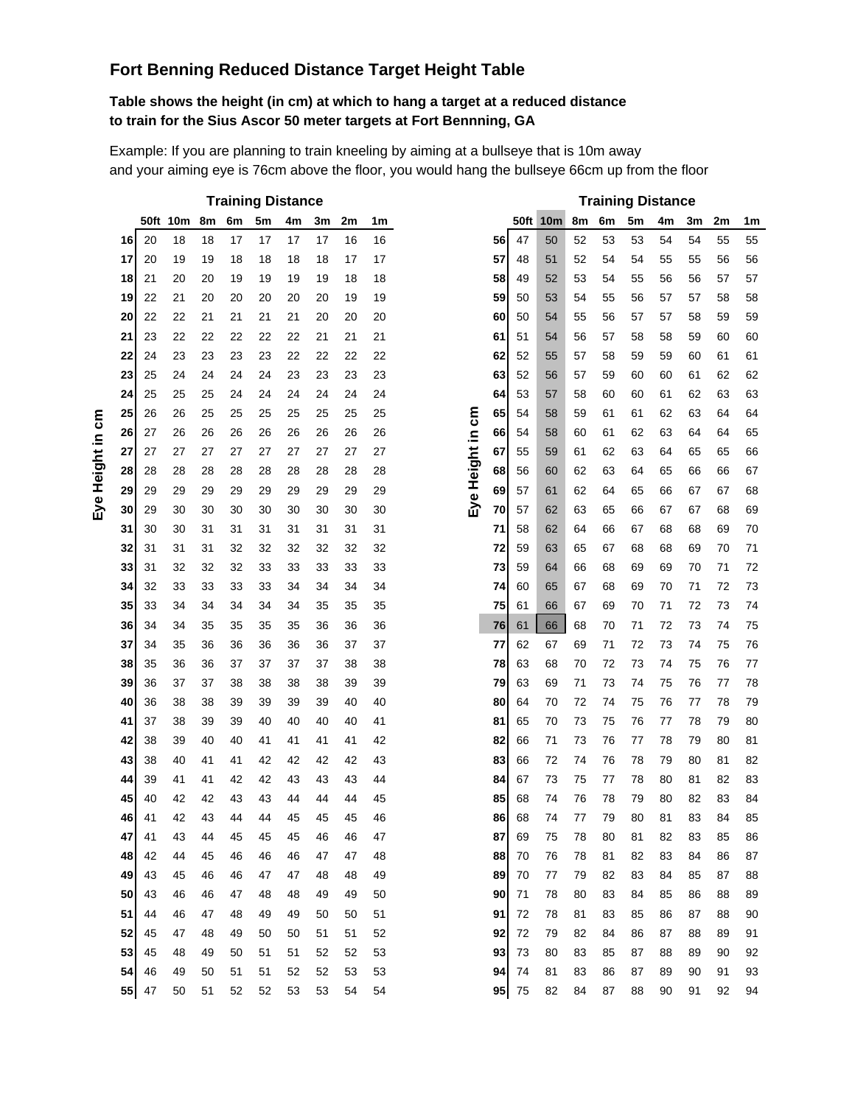## **Fort Benning Reduced Distance Target Height Table**

#### **Table shows the height (in cm) at which to hang a target at a reduced distance to train for the Sius Ascor 50 meter targets at Fort Bennning, GA**

Example: If you are planning to train kneeling by aiming at a bullseye that is 10m away and your aiming eye is 76cm above the floor, you would hang the bullseye 66cm up from the floor

|    |    |          |    |    |    | <b>Training Distance</b> |    |    |    |                  |    |      |                 |    |    | <b>Training Distance</b> |    |    |    |                |
|----|----|----------|----|----|----|--------------------------|----|----|----|------------------|----|------|-----------------|----|----|--------------------------|----|----|----|----------------|
|    |    | 50ft 10m | 8m | 6m | 5m | 4m                       | 3m | 2m | 1m |                  |    | 50ft | 10 <sub>m</sub> | 8m | 6m | 5m                       | 4m | 3m | 2m | 1 <sub>m</sub> |
| 16 | 20 | 18       | 18 | 17 | 17 | 17                       | 17 | 16 | 16 |                  | 56 | 47   | 50              | 52 | 53 | 53                       | 54 | 54 | 55 | 55             |
| 17 | 20 | 19       | 19 | 18 | 18 | 18                       | 18 | 17 | 17 |                  | 57 | 48   | 51              | 52 | 54 | 54                       | 55 | 55 | 56 | 56             |
| 18 | 21 | 20       | 20 | 19 | 19 | 19                       | 19 | 18 | 18 |                  | 58 | 49   | 52              | 53 | 54 | 55                       | 56 | 56 | 57 | 57             |
| 19 | 22 | 21       | 20 | 20 | 20 | 20                       | 20 | 19 | 19 |                  | 59 | 50   | 53              | 54 | 55 | 56                       | 57 | 57 | 58 | 58             |
| 20 | 22 | 22       | 21 | 21 | 21 | 21                       | 20 | 20 | 20 |                  | 60 | 50   | 54              | 55 | 56 | 57                       | 57 | 58 | 59 | 59             |
| 21 | 23 | 22       | 22 | 22 | 22 | 22                       | 21 | 21 | 21 |                  | 61 | 51   | 54              | 56 | 57 | 58                       | 58 | 59 | 60 | 60             |
| 22 | 24 | 23       | 23 | 23 | 23 | 22                       | 22 | 22 | 22 |                  | 62 | 52   | 55              | 57 | 58 | 59                       | 59 | 60 | 61 | 61             |
| 23 | 25 | 24       | 24 | 24 | 24 | 23                       | 23 | 23 | 23 |                  | 63 | 52   | 56              | 57 | 59 | 60                       | 60 | 61 | 62 | 62             |
| 24 | 25 | 25       | 25 | 24 | 24 | 24                       | 24 | 24 | 24 |                  | 64 | 53   | 57              | 58 | 60 | 60                       | 61 | 62 | 63 | 63             |
| 25 | 26 | 26       | 25 | 25 | 25 | 25                       | 25 | 25 | 25 |                  | 65 | 54   | 58              | 59 | 61 | 61                       | 62 | 63 | 64 | 64             |
| 26 | 27 | 26       | 26 | 26 | 26 | 26                       | 26 | 26 | 26 |                  | 66 | 54   | 58              | 60 | 61 | 62                       | 63 | 64 | 64 | 65             |
| 27 | 27 | 27       | 27 | 27 | 27 | 27                       | 27 | 27 | 27 | Eye Height in cm | 67 | 55   | 59              | 61 | 62 | 63                       | 64 | 65 | 65 | 66             |
| 28 | 28 | 28       | 28 | 28 | 28 | 28                       | 28 | 28 | 28 |                  | 68 | 56   | 60              | 62 | 63 | 64                       | 65 | 66 | 66 | 67             |
| 29 | 29 | 29       | 29 | 29 | 29 | 29                       | 29 | 29 | 29 |                  | 69 | 57   | 61              | 62 | 64 | 65                       | 66 | 67 | 67 | 68             |
| 30 | 29 | 30       | 30 | 30 | 30 | 30                       | 30 | 30 | 30 |                  | 70 | 57   | 62              | 63 | 65 | 66                       | 67 | 67 | 68 | 69             |
| 31 | 30 | 30       | 31 | 31 | 31 | 31                       | 31 | 31 | 31 |                  | 71 | 58   | 62              | 64 | 66 | 67                       | 68 | 68 | 69 | 70             |
| 32 | 31 | 31       | 31 | 32 | 32 | 32                       | 32 | 32 | 32 |                  | 72 | 59   | 63              | 65 | 67 | 68                       | 68 | 69 | 70 | 71             |
| 33 | 31 | 32       | 32 | 32 | 33 | 33                       | 33 | 33 | 33 |                  | 73 | 59   | 64              | 66 | 68 | 69                       | 69 | 70 | 71 | 72             |
| 34 | 32 | 33       | 33 | 33 | 33 | 34                       | 34 | 34 | 34 |                  | 74 | 60   | 65              | 67 | 68 | 69                       | 70 | 71 | 72 | 73             |
| 35 | 33 | 34       | 34 | 34 | 34 | 34                       | 35 | 35 | 35 |                  | 75 | 61   | 66              | 67 | 69 | 70                       | 71 | 72 | 73 | 74             |
| 36 | 34 | 34       | 35 | 35 | 35 | 35                       | 36 | 36 | 36 |                  | 76 | 61   | 66              | 68 | 70 | 71                       | 72 | 73 | 74 | 75             |
| 37 | 34 | 35       | 36 | 36 | 36 | 36                       | 36 | 37 | 37 |                  | 77 | 62   | 67              | 69 | 71 | 72                       | 73 | 74 | 75 | 76             |
| 38 | 35 | 36       | 36 | 37 | 37 | 37                       | 37 | 38 | 38 |                  | 78 | 63   | 68              | 70 | 72 | 73                       | 74 | 75 | 76 | 77             |
| 39 | 36 | 37       | 37 | 38 | 38 | 38                       | 38 | 39 | 39 |                  | 79 | 63   | 69              | 71 | 73 | 74                       | 75 | 76 | 77 | 78             |
| 40 | 36 | 38       | 38 | 39 | 39 | 39                       | 39 | 40 | 40 |                  | 80 | 64   | 70              | 72 | 74 | 75                       | 76 | 77 | 78 | 79             |
| 41 | 37 | 38       | 39 | 39 | 40 | 40                       | 40 | 40 | 41 |                  | 81 | 65   | 70              | 73 | 75 | 76                       | 77 | 78 | 79 | 80             |
| 42 | 38 | 39       | 40 | 40 | 41 | 41                       | 41 | 41 | 42 |                  | 82 | 66   | 71              | 73 | 76 | 77                       | 78 | 79 | 80 | 81             |
| 43 | 38 | 40       | 41 | 41 | 42 | 42                       | 42 | 42 | 43 |                  | 83 | 66   | 72              | 74 | 76 | 78                       | 79 | 80 | 81 | 82             |
| 44 | 39 | 41       | 41 | 42 | 42 | 43                       | 43 | 43 | 44 |                  | 84 | 67   | 73              | 75 | 77 | 78                       | 80 | 81 | 82 | 83             |
| 45 | 40 | 42       | 42 | 43 | 43 | 44                       | 44 | 44 | 45 |                  | 85 | 68   | 74              | 76 | 78 | 79                       | 80 | 82 | 83 | 84             |
| 46 | 41 | 42       | 43 | 44 | 44 | 45                       | 45 | 45 | 46 |                  | 86 | 68   | 74              | 77 | 79 | 80                       | 81 | 83 | 84 | 85             |
| 47 | 41 | 43       | 44 | 45 | 45 | 45                       | 46 | 46 | 47 |                  | 87 | 69   | 75              | 78 | 80 | 81                       | 82 | 83 | 85 | 86             |
| 48 | 42 | 44       | 45 | 46 | 46 | 46                       | 47 | 47 | 48 |                  | 88 | 70   | 76              | 78 | 81 | 82                       | 83 | 84 | 86 | 87             |
| 49 | 43 | 45       | 46 | 46 | 47 | 47                       | 48 | 48 | 49 |                  | 89 | 70   | 77              | 79 | 82 | 83                       | 84 | 85 | 87 | 88             |
| 50 | 43 | 46       | 46 | 47 | 48 | 48                       | 49 | 49 | 50 |                  | 90 | 71   | 78              | 80 | 83 | 84                       | 85 | 86 | 88 | 89             |
| 51 | 44 | 46       | 47 | 48 | 49 | 49                       | 50 | 50 | 51 |                  | 91 | 72   | 78              | 81 | 83 | 85                       | 86 | 87 | 88 | 90             |
| 52 | 45 | 47       | 48 | 49 | 50 | 50                       | 51 | 51 | 52 |                  | 92 | 72   | 79              | 82 | 84 | 86                       | 87 | 88 | 89 | 91             |
| 53 | 45 | 48       | 49 | 50 | 51 | 51                       | 52 | 52 | 53 |                  | 93 | 73   | 80              | 83 | 85 | 87                       | 88 | 89 | 90 | 92             |
| 54 | 46 | 49       | 50 | 51 | 51 | 52                       | 52 | 53 | 53 |                  | 94 | 74   | 81              | 83 | 86 | 87                       | 89 | 90 | 91 | 93             |
| 55 | 47 | 50       | 51 | 52 | 52 | 53                       | 53 | 54 | 54 |                  | 95 | 75   | 82              | 84 | 87 | 88                       | 90 | 91 | 92 | 94             |

|    | 50ft                                                                                                     | 10m                                                                                                                        | 8m                                                                                                             | 6m                                                                                                             | 5m                                                                                                             | 4m                                                                                                       | 3m                                                                                                       | 2m                                                                                                                            | 1m                                                                                                             |  |  |
|----|----------------------------------------------------------------------------------------------------------|----------------------------------------------------------------------------------------------------------------------------|----------------------------------------------------------------------------------------------------------------|----------------------------------------------------------------------------------------------------------------|----------------------------------------------------------------------------------------------------------------|----------------------------------------------------------------------------------------------------------|----------------------------------------------------------------------------------------------------------|-------------------------------------------------------------------------------------------------------------------------------|----------------------------------------------------------------------------------------------------------------|--|--|
| 56 | 47                                                                                                       | 50                                                                                                                         | 52                                                                                                             | 53                                                                                                             | 53                                                                                                             | 54                                                                                                       | 54                                                                                                       | 55                                                                                                                            | 55                                                                                                             |  |  |
| 57 | 48                                                                                                       | 51                                                                                                                         | 52                                                                                                             | 54                                                                                                             | 54                                                                                                             | 55                                                                                                       | 55                                                                                                       | 56                                                                                                                            | 56                                                                                                             |  |  |
| 58 | 49                                                                                                       | 52                                                                                                                         | 53                                                                                                             | 54                                                                                                             | 55                                                                                                             | 56                                                                                                       | 56                                                                                                       | 57                                                                                                                            | 57                                                                                                             |  |  |
| 59 | 50                                                                                                       | 53                                                                                                                         | 54                                                                                                             | 55                                                                                                             | 56                                                                                                             | 57                                                                                                       | 57                                                                                                       | 58                                                                                                                            | 58                                                                                                             |  |  |
| 60 | 50                                                                                                       | 54                                                                                                                         | 55                                                                                                             | 56                                                                                                             | 57                                                                                                             | 57                                                                                                       | 58                                                                                                       | 59                                                                                                                            | 59                                                                                                             |  |  |
| 61 | 51                                                                                                       | 54                                                                                                                         | 56                                                                                                             | 57                                                                                                             | 58                                                                                                             | 58                                                                                                       | 59                                                                                                       | 60                                                                                                                            | 60                                                                                                             |  |  |
| 62 | 52                                                                                                       | 55                                                                                                                         | 57                                                                                                             | 58                                                                                                             | 59                                                                                                             | 59                                                                                                       | 60                                                                                                       | 61                                                                                                                            | 61                                                                                                             |  |  |
| 63 | 52                                                                                                       | 56                                                                                                                         | 57                                                                                                             | 59                                                                                                             | 60                                                                                                             | 60                                                                                                       | 61                                                                                                       | 62                                                                                                                            | 62                                                                                                             |  |  |
| 64 | 53                                                                                                       | 57                                                                                                                         | 58                                                                                                             | 60                                                                                                             | 60                                                                                                             | 61                                                                                                       | 62                                                                                                       | 63                                                                                                                            | 63                                                                                                             |  |  |
| 65 | 54                                                                                                       | 58                                                                                                                         | 59                                                                                                             | 61                                                                                                             | 61                                                                                                             | 62                                                                                                       | 63                                                                                                       | 64                                                                                                                            | 64                                                                                                             |  |  |
| 66 | 54                                                                                                       | 58                                                                                                                         | 60                                                                                                             | 61                                                                                                             | 62                                                                                                             | 63                                                                                                       | 64                                                                                                       | 64                                                                                                                            | 65                                                                                                             |  |  |
| 67 | 55                                                                                                       | 59                                                                                                                         | 61                                                                                                             | 62                                                                                                             | 63                                                                                                             | 64                                                                                                       | 65                                                                                                       | 65                                                                                                                            | 66                                                                                                             |  |  |
| 68 | 56                                                                                                       | 60                                                                                                                         | 62                                                                                                             | 63                                                                                                             | 64                                                                                                             | 65                                                                                                       | 66                                                                                                       | 66                                                                                                                            | 67                                                                                                             |  |  |
| 69 | 57                                                                                                       | 61                                                                                                                         | 62                                                                                                             | 64                                                                                                             | 65                                                                                                             | 66                                                                                                       | 67                                                                                                       | 67                                                                                                                            | 68                                                                                                             |  |  |
| 70 | 57                                                                                                       | 62                                                                                                                         | 63                                                                                                             | 65                                                                                                             | 66                                                                                                             | 67                                                                                                       | 67                                                                                                       | 68                                                                                                                            | 69                                                                                                             |  |  |
| 71 | 58                                                                                                       | 62                                                                                                                         | 64                                                                                                             | 66                                                                                                             | 67                                                                                                             | 68                                                                                                       | 68                                                                                                       | 69                                                                                                                            | 70                                                                                                             |  |  |
| 72 | 59                                                                                                       | 63                                                                                                                         | 65                                                                                                             | 67                                                                                                             | 68                                                                                                             | 68                                                                                                       | 69                                                                                                       | 70                                                                                                                            | 71                                                                                                             |  |  |
| 73 | 59                                                                                                       | 64                                                                                                                         | 66                                                                                                             | 68                                                                                                             | 69                                                                                                             | 69                                                                                                       | 70                                                                                                       | 71                                                                                                                            | 72                                                                                                             |  |  |
| 74 | 60                                                                                                       | 65                                                                                                                         | 67                                                                                                             | 68                                                                                                             | 69                                                                                                             | 70                                                                                                       | 71                                                                                                       | 72                                                                                                                            | 73                                                                                                             |  |  |
| 75 |                                                                                                          | 66                                                                                                                         | 67                                                                                                             | 69                                                                                                             | 70                                                                                                             | 71                                                                                                       | 72                                                                                                       | 73                                                                                                                            | 74                                                                                                             |  |  |
| 76 |                                                                                                          | 66                                                                                                                         | 68                                                                                                             | 70                                                                                                             | 71                                                                                                             | 72                                                                                                       | 73                                                                                                       | 74                                                                                                                            | 75                                                                                                             |  |  |
|    |                                                                                                          |                                                                                                                            |                                                                                                                |                                                                                                                |                                                                                                                |                                                                                                          | 74                                                                                                       |                                                                                                                               | 76                                                                                                             |  |  |
|    |                                                                                                          |                                                                                                                            |                                                                                                                |                                                                                                                |                                                                                                                |                                                                                                          |                                                                                                          |                                                                                                                               | 77                                                                                                             |  |  |
|    |                                                                                                          |                                                                                                                            |                                                                                                                |                                                                                                                |                                                                                                                |                                                                                                          |                                                                                                          |                                                                                                                               | 78                                                                                                             |  |  |
|    |                                                                                                          |                                                                                                                            |                                                                                                                |                                                                                                                |                                                                                                                |                                                                                                          |                                                                                                          |                                                                                                                               | 79                                                                                                             |  |  |
|    |                                                                                                          |                                                                                                                            |                                                                                                                |                                                                                                                |                                                                                                                |                                                                                                          |                                                                                                          |                                                                                                                               | 80                                                                                                             |  |  |
|    |                                                                                                          |                                                                                                                            |                                                                                                                |                                                                                                                |                                                                                                                |                                                                                                          |                                                                                                          |                                                                                                                               | 81                                                                                                             |  |  |
|    |                                                                                                          |                                                                                                                            |                                                                                                                |                                                                                                                |                                                                                                                |                                                                                                          |                                                                                                          |                                                                                                                               | 82                                                                                                             |  |  |
|    |                                                                                                          |                                                                                                                            |                                                                                                                |                                                                                                                |                                                                                                                |                                                                                                          |                                                                                                          |                                                                                                                               | 83                                                                                                             |  |  |
|    |                                                                                                          |                                                                                                                            |                                                                                                                |                                                                                                                |                                                                                                                |                                                                                                          |                                                                                                          |                                                                                                                               | 84                                                                                                             |  |  |
|    |                                                                                                          |                                                                                                                            |                                                                                                                |                                                                                                                |                                                                                                                |                                                                                                          |                                                                                                          |                                                                                                                               | 85                                                                                                             |  |  |
|    |                                                                                                          |                                                                                                                            |                                                                                                                |                                                                                                                |                                                                                                                |                                                                                                          |                                                                                                          |                                                                                                                               | 86<br>87                                                                                                       |  |  |
|    |                                                                                                          |                                                                                                                            |                                                                                                                |                                                                                                                |                                                                                                                |                                                                                                          |                                                                                                          |                                                                                                                               |                                                                                                                |  |  |
|    |                                                                                                          |                                                                                                                            |                                                                                                                |                                                                                                                |                                                                                                                |                                                                                                          |                                                                                                          |                                                                                                                               | 88<br>89                                                                                                       |  |  |
|    |                                                                                                          |                                                                                                                            |                                                                                                                |                                                                                                                |                                                                                                                |                                                                                                          |                                                                                                          |                                                                                                                               | 90                                                                                                             |  |  |
|    |                                                                                                          |                                                                                                                            |                                                                                                                |                                                                                                                |                                                                                                                |                                                                                                          |                                                                                                          |                                                                                                                               | 91                                                                                                             |  |  |
|    |                                                                                                          |                                                                                                                            |                                                                                                                |                                                                                                                |                                                                                                                |                                                                                                          |                                                                                                          |                                                                                                                               | 92                                                                                                             |  |  |
|    |                                                                                                          |                                                                                                                            |                                                                                                                |                                                                                                                |                                                                                                                |                                                                                                          |                                                                                                          |                                                                                                                               | 93                                                                                                             |  |  |
|    | 75                                                                                                       |                                                                                                                            |                                                                                                                |                                                                                                                | 88                                                                                                             | 90                                                                                                       |                                                                                                          |                                                                                                                               | 94                                                                                                             |  |  |
|    | 77<br>78<br>79<br>80<br>81<br>82<br>83<br>84<br>85<br>86<br>87<br>88<br>89<br>90<br>91<br>92<br>93<br>94 | 61<br>61<br>62<br>63<br>63<br>64<br>65<br>66<br>66<br>67<br>68<br>68<br>69<br>70<br>70<br>71<br>72<br>72<br>73<br>74<br>95 | 67<br>68<br>69<br>70<br>70<br>71<br>72<br>73<br>74<br>74<br>75<br>76<br>77<br>78<br>78<br>79<br>80<br>81<br>82 | 69<br>70<br>71<br>72<br>73<br>73<br>74<br>75<br>76<br>77<br>78<br>78<br>79<br>80<br>81<br>82<br>83<br>83<br>84 | 71<br>72<br>73<br>74<br>75<br>76<br>76<br>77<br>78<br>79<br>80<br>81<br>82<br>83<br>83<br>84<br>85<br>86<br>87 | 72<br>73<br>74<br>75<br>76<br>77<br>78<br>78<br>79<br>80<br>81<br>82<br>83<br>84<br>85<br>86<br>87<br>87 | 73<br>74<br>75<br>76<br>77<br>78<br>79<br>80<br>80<br>81<br>82<br>83<br>84<br>85<br>86<br>87<br>88<br>89 | Training Distance<br>75<br>76<br>77<br>78<br>79<br>80<br>81<br>82<br>83<br>83<br>84<br>85<br>86<br>87<br>88<br>89<br>90<br>91 | 75<br>76<br>77<br>78<br>79<br>80<br>81<br>82<br>83<br>84<br>85<br>86<br>87<br>88<br>88<br>89<br>90<br>91<br>92 |  |  |